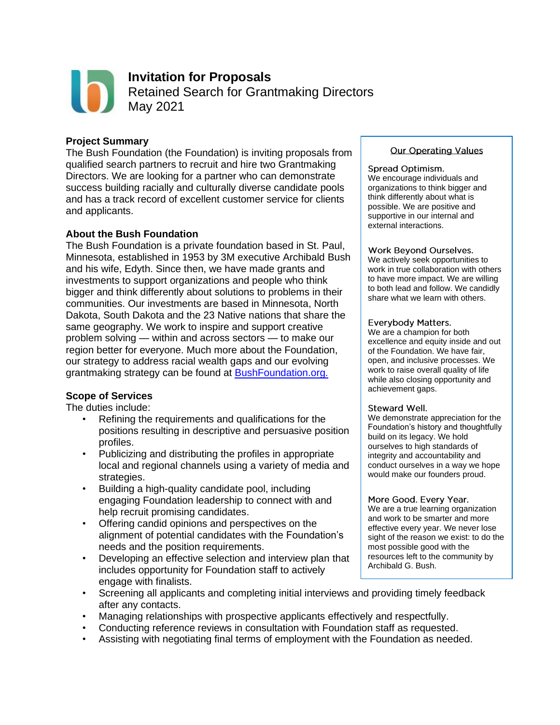

**Invitation for Proposals**  Retained Search for Grantmaking Directors May 2021

# **Project Summary**

The Bush Foundation (the Foundation) is inviting proposals from qualified search partners to recruit and hire two Grantmaking Directors. We are looking for a partner who can demonstrate success building racially and culturally diverse candidate pools and has a track record of excellent customer service for clients and applicants.

## **About the Bush Foundation**

The Bush Foundation is a private foundation based in St. Paul, Minnesota, established in 1953 by 3M executive Archibald Bush and his wife, Edyth. Since then, we have made grants and investments to support organizations and people who think bigger and think differently about solutions to problems in their communities. Our investments are based in Minnesota, North Dakota, South Dakota and the [23 Native nations](https://www.bushfoundation.org/native-nations) that share the same geography. We work to inspire and support creative problem solving — within and across sectors — to make our region better for everyone. Much more about the Foundation, our strategy to address racial wealth gaps and our evolving grantmaking strategy can be found at [BushFoundation.org.](http://bushfoundation.org/)

# **Scope of Services**

The duties include:

- Refining the requirements and qualifications for the positions resulting in descriptive and persuasive position profiles.
- Publicizing and distributing the profiles in appropriate local and regional channels using a variety of media and strategies.
- Building a high-quality candidate pool, including engaging Foundation leadership to connect with and help recruit promising candidates.
- Offering candid opinions and perspectives on the alignment of potential candidates with the Foundation's needs and the position requirements.
- Developing an effective selection and interview plan that includes opportunity for Foundation staff to actively engage with finalists.

## **Our Operating Values**

#### Spread Optimism.

We encourage individuals and organizations to think bigger and think differently about what is possible. We are positive and supportive in our internal and external interactions.

#### Work Beyond Ourselves.

We actively seek opportunities to work in true collaboration with others to have more impact. We are willing to both lead and follow. We candidly share what we learn with others.

#### Everybody Matters.

We are a champion for both excellence and equity inside and out of the Foundation. We have fair, open, and inclusive processes. We work to raise overall quality of life while also closing opportunity and achievement gaps.

#### Steward Well.

We demonstrate appreciation for the Foundation's history and thoughtfully build on its legacy. We hold ourselves to high standards of integrity and accountability and conduct ourselves in a way we hope would make our founders proud.

#### More Good. Every Year.

We are a true learning organization and work to be smarter and more effective every year. We never lose sight of the reason we exist: to do the most possible good with the resources left to the community by Archibald G. Bush.

- Screening all applicants and completing initial interviews and providing timely feedback after any contacts.
- Managing relationships with prospective applicants effectively and respectfully.
- Conducting reference reviews in consultation with Foundation staff as requested.
- Assisting with negotiating final terms of employment with the Foundation as needed.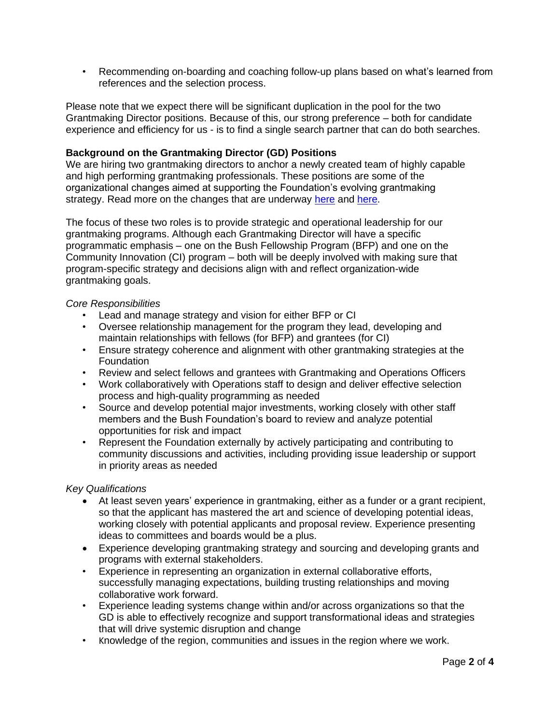• Recommending on-boarding and coaching follow-up plans based on what's learned from references and the selection process.

Please note that we expect there will be significant duplication in the pool for the two Grantmaking Director positions. Because of this, our strong preference – both for candidate experience and efficiency for us - is to find a single search partner that can do both searches.

# **Background on the Grantmaking Director (GD) Positions**

We are hiring two grantmaking directors to anchor a newly created team of highly capable and high performing grantmaking professionals. These positions are some of the organizational changes aimed at supporting the Foundation's evolving grantmaking strategy. Read more on the changes that are underway [here](https://www.bushfoundation.org/news/note-jen-where-were-headed) and [here.](https://www.bushfoundation.org/news/our-new-investments-racial-equity)

The focus of these two roles is to provide strategic and operational leadership for our grantmaking programs. Although each Grantmaking Director will have a specific programmatic emphasis – one on the Bush Fellowship Program (BFP) and one on the Community Innovation (CI) program – both will be deeply involved with making sure that program-specific strategy and decisions align with and reflect organization-wide grantmaking goals.

## *Core Responsibilities*

- Lead and manage strategy and vision for either BFP or CI
- Oversee relationship management for the program they lead, developing and maintain relationships with fellows (for BFP) and grantees (for CI)
- Ensure strategy coherence and alignment with other grantmaking strategies at the **Foundation**
- Review and select fellows and grantees with Grantmaking and Operations Officers
- Work collaboratively with Operations staff to design and deliver effective selection process and high-quality programming as needed
- Source and develop potential major investments, working closely with other staff members and the Bush Foundation's board to review and analyze potential opportunities for risk and impact
- Represent the Foundation externally by actively participating and contributing to community discussions and activities, including providing issue leadership or support in priority areas as needed

# *Key Qualifications*

- At least seven years' experience in grantmaking, either as a funder or a grant recipient, so that the applicant has mastered the art and science of developing potential ideas, working closely with potential applicants and proposal review. Experience presenting ideas to committees and boards would be a plus.
- Experience developing grantmaking strategy and sourcing and developing grants and programs with external stakeholders.
- Experience in representing an organization in external collaborative efforts, successfully managing expectations, building trusting relationships and moving collaborative work forward.
- Experience leading systems change within and/or across organizations so that the GD is able to effectively recognize and support transformational ideas and strategies that will drive systemic disruption and change
- Knowledge of the region, communities and issues in the region where we work.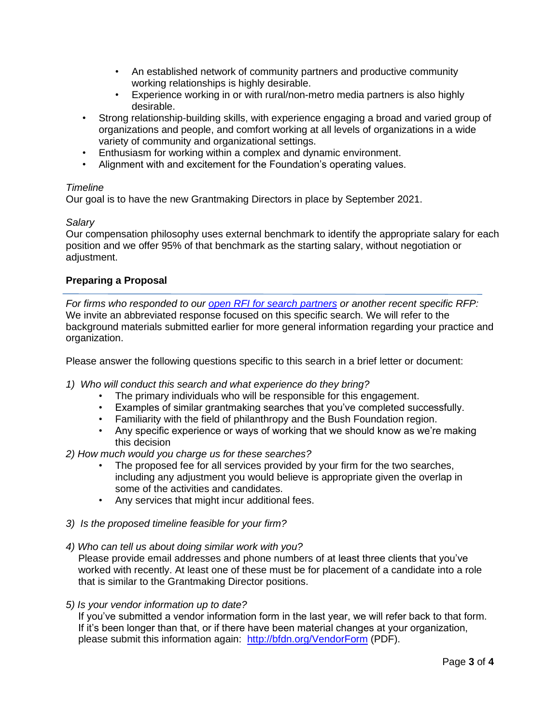- An established network of community partners and productive community working relationships is highly desirable.
- Experience working in or with rural/non-metro media partners is also highly desirable.
- Strong relationship-building skills, with experience engaging a broad and varied group of organizations and people, and comfort working at all levels of organizations in a wide variety of community and organizational settings.
- Enthusiasm for working within a complex and dynamic environment.
- Alignment with and excitement for the Foundation's operating values.

# *Timeline*

Our goal is to have the new Grantmaking Directors in place by September 2021.

## *Salary*

Our compensation philosophy uses external benchmark to identify the appropriate salary for each position and we offer 95% of that benchmark as the starting salary, without negotiation or adjustment.

# **Preparing a Proposal**

*For firms who responded to our [open RFI for search partners](https://www.bushfoundation.org/requests-proposals) or another recent specific RFP:* We invite an abbreviated response focused on this specific search. We will refer to the background materials submitted earlier for more general information regarding your practice and organization.

Please answer the following questions specific to this search in a brief letter or document:

- *1) Who will conduct this search and what experience do they bring?* 
	- The primary individuals who will be responsible for this engagement.
	- Examples of similar grantmaking searches that you've completed successfully.
	- Familiarity with the field of philanthropy and the Bush Foundation region.
	- Any specific experience or ways of working that we should know as we're making this decision
- *2) How much would you charge us for these searches?* 
	- The proposed fee for all services provided by your firm for the two searches, including any adjustment you would believe is appropriate given the overlap in some of the activities and candidates.
	- Any services that might incur additional fees.
- *3) Is the proposed timeline feasible for your firm?*
- *4) Who can tell us about doing similar work with you?*

Please provide email addresses and phone numbers of at least three clients that you've worked with recently. At least one of these must be for placement of a candidate into a role that is similar to the Grantmaking Director positions.

*5) Is your vendor information up to date?* 

If you've submitted a vendor information form in the last year, we will refer back to that form. If it's been longer than that, or if there have been material changes at your organization, please submit this information again: <http://bfdn.org/VendorForm> (PDF).